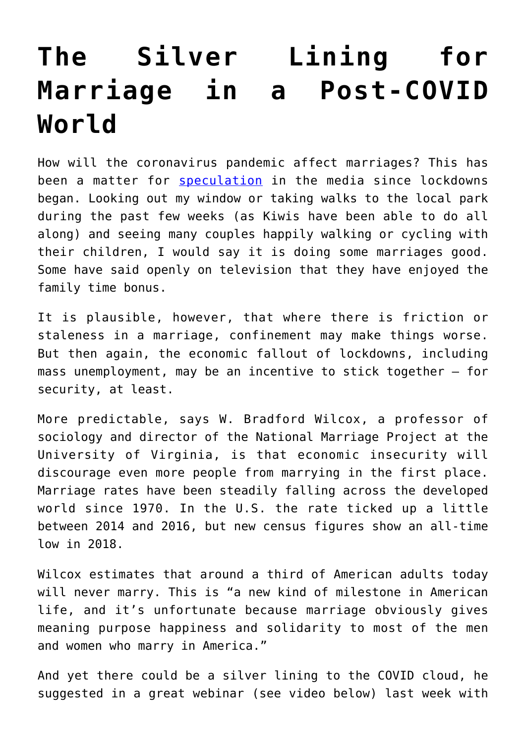## **[The Silver Lining for](https://intellectualtakeout.org/2020/05/the-silver-lining-for-marriage-in-a-post-covid-world/) [Marriage in a Post-COVID](https://intellectualtakeout.org/2020/05/the-silver-lining-for-marriage-in-a-post-covid-world/) [World](https://intellectualtakeout.org/2020/05/the-silver-lining-for-marriage-in-a-post-covid-world/)**

How will the coronavirus pandemic affect marriages? This has been a matter for **[speculation](https://www.nzherald.co.nz/lifestyle/news/article.cfm?c_id=6&objectid=12328496)** in the media since lockdowns began. Looking out my window or taking walks to the local park during the past few weeks (as Kiwis have been able to do all along) and seeing many couples happily walking or cycling with their children, I would say it is doing some marriages good. Some have said openly on television that they have enjoyed the family time bonus.

It is plausible, however, that where there is friction or staleness in a marriage, confinement may make things worse. But then again, the economic fallout of lockdowns, including mass unemployment, may be an incentive to stick together – for security, at least.

More predictable, says W. Bradford Wilcox, a professor of sociology and director of the National Marriage Project at the University of Virginia, is that economic insecurity will discourage even more people from marrying in the first place. Marriage rates have been steadily falling across the developed world since 1970. In the U.S. the rate ticked up a little between 2014 and 2016, but new census figures show an all-time low in 2018.

Wilcox estimates that around a third of American adults today will never marry. This is "a new kind of milestone in American life, and it's unfortunate because marriage obviously gives meaning purpose happiness and solidarity to most of the men and women who marry in America."

And yet there could be a silver lining to the COVID cloud, he suggested in a great webinar (see video below) last week with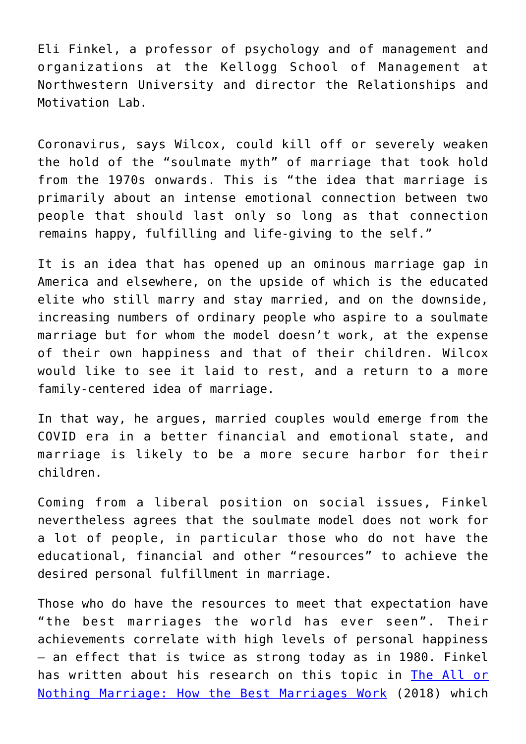Eli Finkel, a professor of psychology and of management and organizations at the Kellogg School of Management at Northwestern University and director the Relationships and Motivation Lab.

Coronavirus, says Wilcox, could kill off or severely weaken the hold of the "soulmate myth" of marriage that took hold from the 1970s onwards. This is "the idea that marriage is primarily about an intense emotional connection between two people that should last only so long as that connection remains happy, fulfilling and life-giving to the self."

It is an idea that has opened up an ominous marriage gap in America and elsewhere, on the upside of which is the educated elite who still marry and stay married, and on the downside, increasing numbers of ordinary people who aspire to a soulmate marriage but for whom the model doesn't work, at the expense of their own happiness and that of their children. Wilcox would like to see it laid to rest, and a return to a more family-centered idea of marriage.

In that way, he argues, married couples would emerge from the COVID era in a better financial and emotional state, and marriage is likely to be a more secure harbor for their children.

Coming from a liberal position on social issues, Finkel nevertheless agrees that the soulmate model does not work for a lot of people, in particular those who do not have the educational, financial and other "resources" to achieve the desired personal fulfillment in marriage.

Those who do have the resources to meet that expectation have "the best marriages the world has ever seen". Their achievements correlate with high levels of personal happiness – an effect that is twice as strong today as in 1980. Finkel has written about his research on this topic in [The All or](https://www.amazon.com/gp/product/1101984341/ref=as_li_tl?ie=UTF8&camp=1789&creative=9325&creativeASIN=1101984341&linkCode=as2&tag=intelltakeo0d-20&linkId=71c0582b4741fc1a168a96b532c059a9) [Nothing Marriage: How the Best Marriages Work](https://www.amazon.com/gp/product/1101984341/ref=as_li_tl?ie=UTF8&camp=1789&creative=9325&creativeASIN=1101984341&linkCode=as2&tag=intelltakeo0d-20&linkId=71c0582b4741fc1a168a96b532c059a9) (2018) which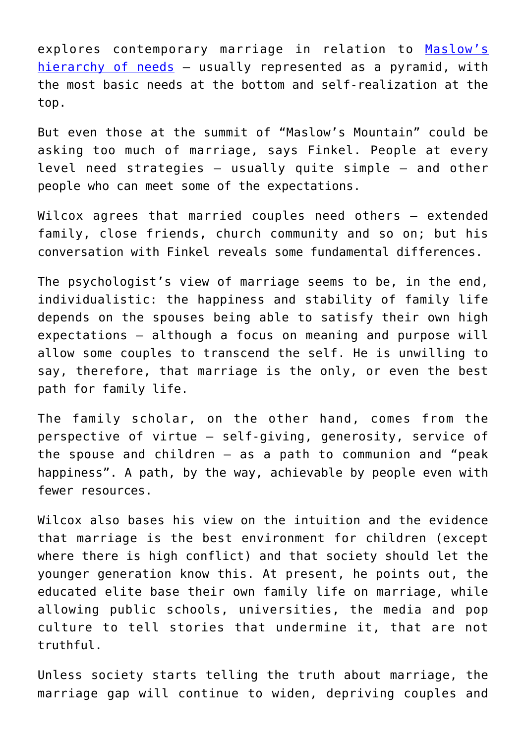explores contemporary marriage in relation to [Maslow's](https://en.wikipedia.org/wiki/Maslow%27s_hierarchy_of_needs) [hierarchy of needs](https://en.wikipedia.org/wiki/Maslow%27s_hierarchy_of_needs) - usually represented as a pyramid, with the most basic needs at the bottom and self-realization at the top.

But even those at the summit of "Maslow's Mountain" could be asking too much of marriage, says Finkel. People at every level need strategies – usually quite simple – and other people who can meet some of the expectations.

Wilcox agrees that married couples need others – extended family, close friends, church community and so on; but his conversation with Finkel reveals some fundamental differences.

The psychologist's view of marriage seems to be, in the end, individualistic: the happiness and stability of family life depends on the spouses being able to satisfy their own high expectations – although a focus on meaning and purpose will allow some couples to transcend the self. He is unwilling to say, therefore, that marriage is the only, or even the best path for family life.

The family scholar, on the other hand, comes from the perspective of virtue – self-giving, generosity, service of the spouse and children – as a path to communion and "peak happiness". A path, by the way, achievable by people even with fewer resources.

Wilcox also bases his view on the intuition and the evidence that marriage is the best environment for children (except where there is high conflict) and that society should let the younger generation know this. At present, he points out, the educated elite base their own family life on marriage, while allowing public schools, universities, the media and pop culture to tell stories that undermine it, that are not truthful.

Unless society starts telling the truth about marriage, the marriage gap will continue to widen, depriving couples and